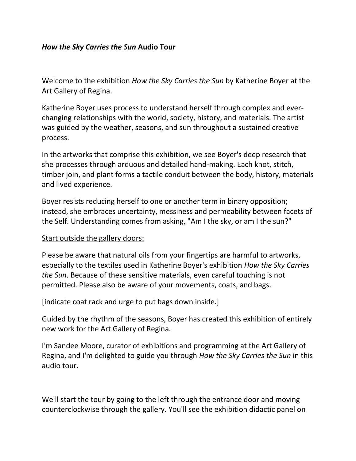#### *How the Sky Carries the Sun* **Audio Tour**

Welcome to the exhibition *How the Sky Carries the Sun* by Katherine Boyer at the Art Gallery of Regina.

Katherine Boyer uses process to understand herself through complex and everchanging relationships with the world, society, history, and materials. The artist was guided by the weather, seasons, and sun throughout a sustained creative process.

In the artworks that comprise this exhibition, we see Boyer's deep research that she processes through arduous and detailed hand-making. Each knot, stitch, timber join, and plant forms a tactile conduit between the body, history, materials and lived experience.

Boyer resists reducing herself to one or another term in binary opposition; instead, she embraces uncertainty, messiness and permeability between facets of the Self. Understanding comes from asking, "Am I the sky, or am I the sun?"

#### Start outside the gallery doors:

Please be aware that natural oils from your fingertips are harmful to artworks, especially to the textiles used in Katherine Boyer's exhibition *How the Sky Carries the Sun*. Because of these sensitive materials, even careful touching is not permitted. Please also be aware of your movements, coats, and bags.

[indicate coat rack and urge to put bags down inside.]

Guided by the rhythm of the seasons, Boyer has created this exhibition of entirely new work for the Art Gallery of Regina.

I'm Sandee Moore, curator of exhibitions and programming at the Art Gallery of Regina, and I'm delighted to guide you through *How the Sky Carries the Sun* in this audio tour.

We'll start the tour by going to the left through the entrance door and moving counterclockwise through the gallery. You'll see the exhibition didactic panel on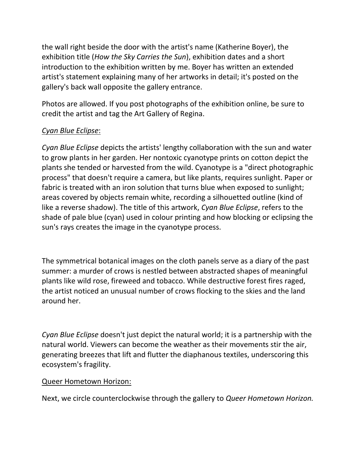the wall right beside the door with the artist's name (Katherine Boyer), the exhibition title (*How the Sky Carries the Sun*), exhibition dates and a short introduction to the exhibition written by me. Boyer has written an extended artist's statement explaining many of her artworks in detail; it's posted on the gallery's back wall opposite the gallery entrance.

Photos are allowed. If you post photographs of the exhibition online, be sure to credit the artist and tag the Art Gallery of Regina.

# *Cyan Blue Eclipse*:

*Cyan Blue Eclipse* depicts the artists' lengthy collaboration with the sun and water to grow plants in her garden. Her nontoxic cyanotype prints on cotton depict the plants she tended or harvested from the wild. Cyanotype is a "direct photographic process" that doesn't require a camera, but like plants, requires sunlight. Paper or fabric is treated with an iron solution that turns blue when exposed to sunlight; areas covered by objects remain white, recording a silhouetted outline (kind of like a reverse shadow). The title of this artwork, *Cyan Blue Eclipse*, refers to the shade of pale blue (cyan) used in colour printing and how blocking or eclipsing the sun's rays creates the image in the cyanotype process.

The symmetrical botanical images on the cloth panels serve as a diary of the past summer: a murder of crows is nestled between abstracted shapes of meaningful plants like wild rose, fireweed and tobacco. While destructive forest fires raged, the artist noticed an unusual number of crows flocking to the skies and the land around her.

*Cyan Blue Eclipse* doesn't just depict the natural world; it is a partnership with the natural world. Viewers can become the weather as their movements stir the air, generating breezes that lift and flutter the diaphanous textiles, underscoring this ecosystem's fragility.

#### Queer Hometown Horizon:

Next, we circle counterclockwise through the gallery to *Queer Hometown Horizon.*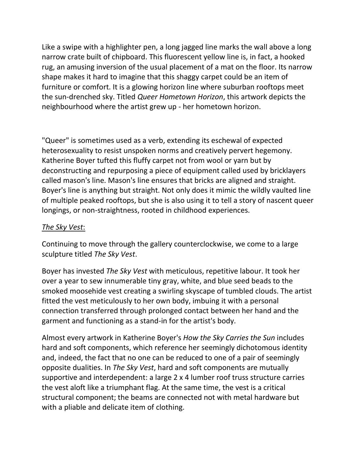Like a swipe with a highlighter pen, a long jagged line marks the wall above a long narrow crate built of chipboard. This fluorescent yellow line is, in fact, a hooked rug, an amusing inversion of the usual placement of a mat on the floor. Its narrow shape makes it hard to imagine that this shaggy carpet could be an item of furniture or comfort. It is a glowing horizon line where suburban rooftops meet the sun-drenched sky. Titled *Queer Hometown Horizon*, this artwork depicts the neighbourhood where the artist grew up - her hometown horizon.

"Queer" is sometimes used as a verb, extending its eschewal of expected heterosexuality to resist unspoken norms and creatively pervert hegemony. Katherine Boyer tufted this fluffy carpet not from wool or yarn but by deconstructing and repurposing a piece of equipment called used by bricklayers called mason's line. Mason's line ensures that bricks are aligned and straight. Boyer's line is anything but straight. Not only does it mimic the wildly vaulted line of multiple peaked rooftops, but she is also using it to tell a story of nascent queer longings, or non-straightness, rooted in childhood experiences.

# *The Sky Vest*:

Continuing to move through the gallery counterclockwise, we come to a large sculpture titled *The Sky Vest*.

Boyer has invested *The Sky Vest* with meticulous, repetitive labour. It took her over a year to sew innumerable tiny gray, white, and blue seed beads to the smoked moosehide vest creating a swirling skyscape of tumbled clouds. The artist fitted the vest meticulously to her own body, imbuing it with a personal connection transferred through prolonged contact between her hand and the garment and functioning as a stand-in for the artist's body.

Almost every artwork in Katherine Boyer's *How the Sky Carries the Sun* includes hard and soft components, which reference her seemingly dichotomous identity and, indeed, the fact that no one can be reduced to one of a pair of seemingly opposite dualities. In *The Sky Vest*, hard and soft components are mutually supportive and interdependent: a large 2 x 4 lumber roof truss structure carries the vest aloft like a triumphant flag. At the same time, the vest is a critical structural component; the beams are connected not with metal hardware but with a pliable and delicate item of clothing.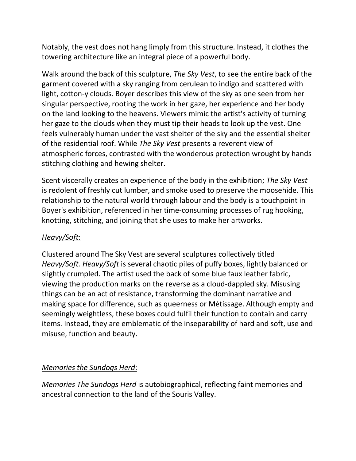Notably, the vest does not hang limply from this structure. Instead, it clothes the towering architecture like an integral piece of a powerful body.

Walk around the back of this sculpture, *The Sky Vest*, to see the entire back of the garment covered with a sky ranging from cerulean to indigo and scattered with light, cotton-y clouds. Boyer describes this view of the sky as one seen from her singular perspective, rooting the work in her gaze, her experience and her body on the land looking to the heavens. Viewers mimic the artist's activity of turning her gaze to the clouds when they must tip their heads to look up the vest. One feels vulnerably human under the vast shelter of the sky and the essential shelter of the residential roof. While *The Sky Vest* presents a reverent view of atmospheric forces, contrasted with the wonderous protection wrought by hands stitching clothing and hewing shelter.

Scent viscerally creates an experience of the body in the exhibition; *The Sky Vest*  is redolent of freshly cut lumber, and smoke used to preserve the moosehide. This relationship to the natural world through labour and the body is a touchpoint in Boyer's exhibition, referenced in her time-consuming processes of rug hooking, knotting, stitching, and joining that she uses to make her artworks.

# *Heavy/Soft*:

Clustered around The Sky Vest are several sculptures collectively titled *Heavy/Soft. Heavy/Soft* is several chaotic piles of puffy boxes, lightly balanced or slightly crumpled. The artist used the back of some blue faux leather fabric, viewing the production marks on the reverse as a cloud-dappled sky. Misusing things can be an act of resistance, transforming the dominant narrative and making space for difference, such as queerness or Métissage. Although empty and seemingly weightless, these boxes could fulfil their function to contain and carry items. Instead, they are emblematic of the inseparability of hard and soft, use and misuse, function and beauty.

# *Memories the Sundogs Herd*:

*Memories The Sundogs Herd* is autobiographical, reflecting faint memories and ancestral connection to the land of the Souris Valley.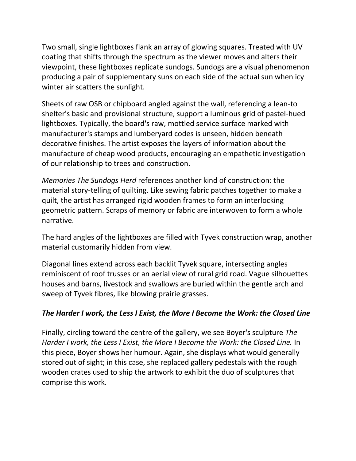Two small, single lightboxes flank an array of glowing squares. Treated with UV coating that shifts through the spectrum as the viewer moves and alters their viewpoint, these lightboxes replicate sundogs. Sundogs are a visual phenomenon producing a pair of supplementary suns on each side of the actual sun when icy winter air scatters the sunlight.

Sheets of raw OSB or chipboard angled against the wall, referencing a lean-to shelter's basic and provisional structure, support a luminous grid of pastel-hued lightboxes. Typically, the board's raw, mottled service surface marked with manufacturer's stamps and lumberyard codes is unseen, hidden beneath decorative finishes. The artist exposes the layers of information about the manufacture of cheap wood products, encouraging an empathetic investigation of our relationship to trees and construction.

*Memories The Sundogs Herd* references another kind of construction: the material story-telling of quilting. Like sewing fabric patches together to make a quilt, the artist has arranged rigid wooden frames to form an interlocking geometric pattern. Scraps of memory or fabric are interwoven to form a whole narrative.

The hard angles of the lightboxes are filled with Tyvek construction wrap, another material customarily hidden from view.

Diagonal lines extend across each backlit Tyvek square, intersecting angles reminiscent of roof trusses or an aerial view of rural grid road. Vague silhouettes houses and barns, livestock and swallows are buried within the gentle arch and sweep of Tyvek fibres, like blowing prairie grasses.

# *The Harder I work, the Less I Exist, the More I Become the Work: the Closed Line*

Finally, circling toward the centre of the gallery, we see Boyer's sculpture *The Harder I work, the Less I Exist, the More I Become the Work: the Closed Line. In* this piece, Boyer shows her humour. Again, she displays what would generally stored out of sight; in this case, she replaced gallery pedestals with the rough wooden crates used to ship the artwork to exhibit the duo of sculptures that comprise this work.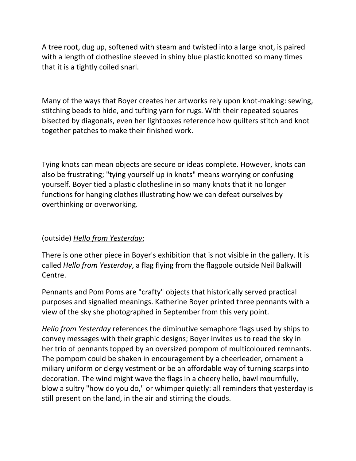A tree root, dug up, softened with steam and twisted into a large knot, is paired with a length of clothesline sleeved in shiny blue plastic knotted so many times that it is a tightly coiled snarl.

Many of the ways that Boyer creates her artworks rely upon knot-making: sewing, stitching beads to hide, and tufting yarn for rugs. With their repeated squares bisected by diagonals, even her lightboxes reference how quilters stitch and knot together patches to make their finished work.

Tying knots can mean objects are secure or ideas complete. However, knots can also be frustrating; "tying yourself up in knots" means worrying or confusing yourself. Boyer tied a plastic clothesline in so many knots that it no longer functions for hanging clothes illustrating how we can defeat ourselves by overthinking or overworking.

#### (outside) *Hello from Yesterday*:

There is one other piece in Boyer's exhibition that is not visible in the gallery. It is called *Hello from Yesterday*, a flag flying from the flagpole outside Neil Balkwill Centre.

Pennants and Pom Poms are "crafty" objects that historically served practical purposes and signalled meanings. Katherine Boyer printed three pennants with a view of the sky she photographed in September from this very point.

*Hello from Yesterday* references the diminutive semaphore flags used by ships to convey messages with their graphic designs; Boyer invites us to read the sky in her trio of pennants topped by an oversized pompom of multicoloured remnants. The pompom could be shaken in encouragement by a cheerleader, ornament a miliary uniform or clergy vestment or be an affordable way of turning scarps into decoration. The wind might wave the flags in a cheery hello, bawl mournfully, blow a sultry "how do you do," or whimper quietly: all reminders that yesterday is still present on the land, in the air and stirring the clouds.